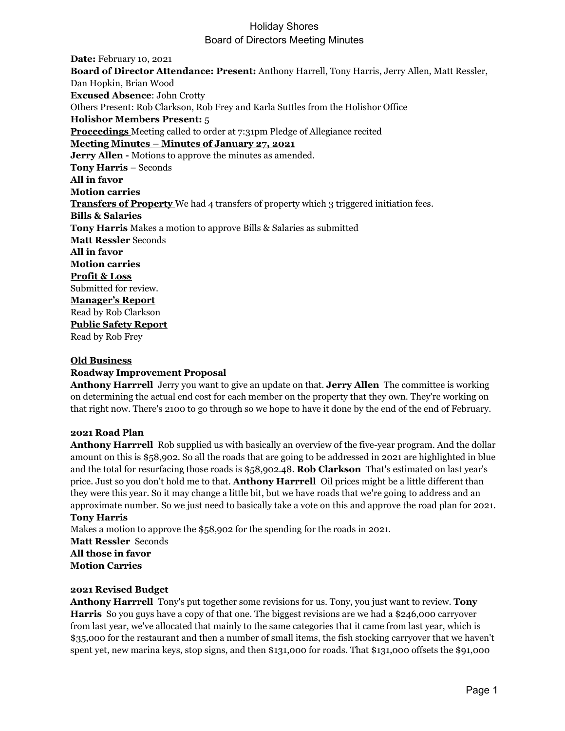**Date:** February 10, 2021 **Board of Director Attendance: Present:** Anthony Harrell, Tony Harris, Jerry Allen, Matt Ressler, Dan Hopkin, Brian Wood **Excused Absence**: John Crotty Others Present: Rob Clarkson, Rob Frey and Karla Suttles from the Holishor Office **Holishor Members Present:** 5 **Proceedings** Meeting called to order at 7:31pm Pledge of Allegiance recited **Meeting Minutes – Minutes of January 27, 2021 Jerry Allen -** Motions to approve the minutes as amended. **Tony Harris** – Seconds **All in favor Motion carries Transfers of Property** We had 4 transfers of property which 3 triggered initiation fees. **Bills & Salaries Tony Harris** Makes a motion to approve Bills & Salaries as submitted **Matt Ressler** Seconds **All in favor Motion carries Profit & Loss** Submitted for review. **Manager's Report** Read by Rob Clarkson **Public Safety Report** Read by Rob Frey

### **Old Business**

### **Roadway Improvement Proposal**

**Anthony Harrrell** Jerry you want to give an update on that. **Jerry Allen** The committee is working on determining the actual end cost for each member on the property that they own. They're working on that right now. There's 2100 to go through so we hope to have it done by the end of the end of February.

### **2021 Road Plan**

**Anthony Harrrell** Rob supplied us with basically an overview of the five-year program. And the dollar amount on this is \$58,902. So all the roads that are going to be addressed in 2021 are highlighted in blue and the total for resurfacing those roads is \$58,902.48. **Rob Clarkson** That's estimated on last year's price. Just so you don't hold me to that. **Anthony Harrrell** Oil prices might be a little different than they were this year. So it may change a little bit, but we have roads that we're going to address and an approximate number. So we just need to basically take a vote on this and approve the road plan for 2021. **Tony Harris**

Makes a motion to approve the \$58,902 for the spending for the roads in 2021.

**Matt Ressler** Seconds **All those in favor Motion Carries**

### **2021 Revised Budget**

**Anthony Harrrell** Tony's put together some revisions for us. Tony, you just want to review. **Tony Harris** So you guys have a copy of that one. The biggest revisions are we had a \$246,000 carryover from last year, we've allocated that mainly to the same categories that it came from last year, which is \$35,000 for the restaurant and then a number of small items, the fish stocking carryover that we haven't spent yet, new marina keys, stop signs, and then \$131,000 for roads. That \$131,000 offsets the \$91,000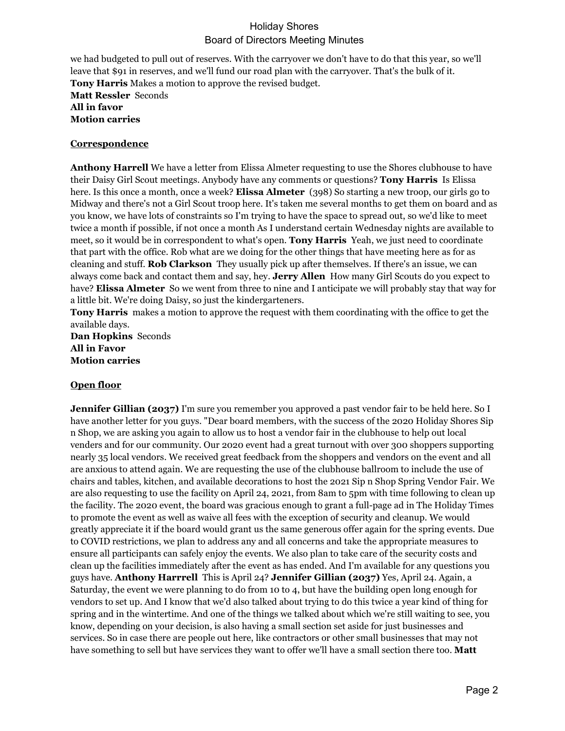we had budgeted to pull out of reserves. With the carryover we don't have to do that this year, so we'll leave that \$91 in reserves, and we'll fund our road plan with the carryover. That's the bulk of it. **Tony Harris** Makes a motion to approve the revised budget. **Matt Ressler** Seconds **All in favor Motion carries**

### **Correspondence**

**Anthony Harrell** We have a letter from Elissa Almeter requesting to use the Shores clubhouse to have their Daisy Girl Scout meetings. Anybody have any comments or questions? **Tony Harris** Is Elissa here. Is this once a month, once a week? **Elissa Almeter** (398) So starting a new troop, our girls go to Midway and there's not a Girl Scout troop here. It's taken me several months to get them on board and as you know, we have lots of constraints so I'm trying to have the space to spread out, so we'd like to meet twice a month if possible, if not once a month As I understand certain Wednesday nights are available to meet, so it would be in correspondent to what's open. **Tony Harris** Yeah, we just need to coordinate that part with the office. Rob what are we doing for the other things that have meeting here as for as cleaning and stuff. **Rob Clarkson** They usually pick up after themselves. If there's an issue, we can always come back and contact them and say, hey. **Jerry Allen** How many Girl Scouts do you expect to have? **Elissa Almeter** So we went from three to nine and I anticipate we will probably stay that way for a little bit. We're doing Daisy, so just the kindergarteners.

**Tony Harris** makes a motion to approve the request with them coordinating with the office to get the available days.

**Dan Hopkins** Seconds **All in Favor Motion carries**

### **Open floor**

**Jennifer Gillian (2037)** I'm sure you remember you approved a past vendor fair to be held here. So I have another letter for you guys. "Dear board members, with the success of the 2020 Holiday Shores Sip n Shop, we are asking you again to allow us to host a vendor fair in the clubhouse to help out local venders and for our community. Our 2020 event had a great turnout with over 300 shoppers supporting nearly 35 local vendors. We received great feedback from the shoppers and vendors on the event and all are anxious to attend again. We are requesting the use of the clubhouse ballroom to include the use of chairs and tables, kitchen, and available decorations to host the 2021 Sip n Shop Spring Vendor Fair. We are also requesting to use the facility on April 24, 2021, from 8am to 5pm with time following to clean up the facility. The 2020 event, the board was gracious enough to grant a full-page ad in The Holiday Times to promote the event as well as waive all fees with the exception of security and cleanup. We would greatly appreciate it if the board would grant us the same generous offer again for the spring events. Due to COVID restrictions, we plan to address any and all concerns and take the appropriate measures to ensure all participants can safely enjoy the events. We also plan to take care of the security costs and clean up the facilities immediately after the event as has ended. And I'm available for any questions you guys have. **Anthony Harrrell** This is April 24? **Jennifer Gillian (2037)** Yes, April 24. Again, a Saturday, the event we were planning to do from 10 to 4, but have the building open long enough for vendors to set up. And I know that we'd also talked about trying to do this twice a year kind of thing for spring and in the wintertime. And one of the things we talked about which we're still waiting to see, you know, depending on your decision, is also having a small section set aside for just businesses and services. So in case there are people out here, like contractors or other small businesses that may not have something to sell but have services they want to offer we'll have a small section there too. **Matt**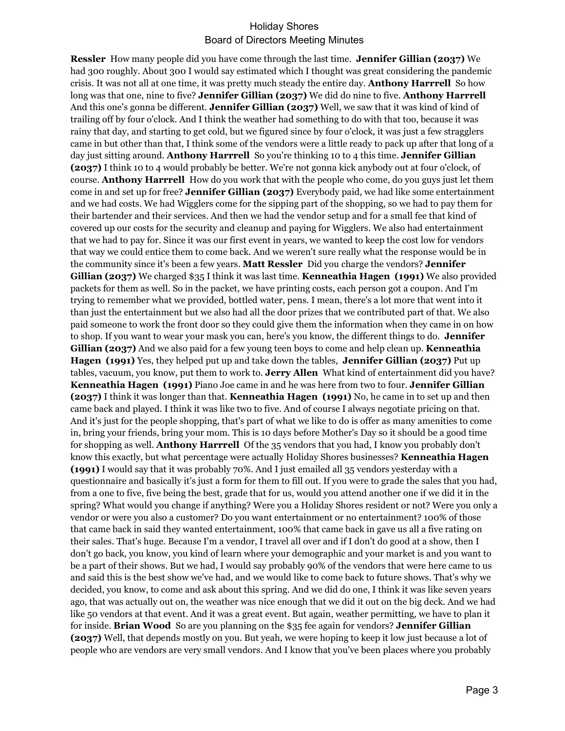**Ressler** How many people did you have come through the last time. **Jennifer Gillian (2037)** We had 300 roughly. About 300 I would say estimated which I thought was great considering the pandemic crisis. It was not all at one time, it was pretty much steady the entire day. **Anthony Harrrell** So how long was that one, nine to five? **Jennifer Gillian (2037)** We did do nine to five. **Anthony Harrrell** And this one's gonna be different. **Jennifer Gillian (2037)** Well, we saw that it was kind of kind of trailing off by four o'clock. And I think the weather had something to do with that too, because it was rainy that day, and starting to get cold, but we figured since by four o'clock, it was just a few stragglers came in but other than that, I think some of the vendors were a little ready to pack up after that long of a day just sitting around. **Anthony Harrrell** So you're thinking 10 to 4 this time. **Jennifer Gillian (2037)** I think 10 to 4 would probably be better. We're not gonna kick anybody out at four o'clock, of course. **Anthony Harrrell** How do you work that with the people who come, do you guys just let them come in and set up for free? **Jennifer Gillian (2037)** Everybody paid, we had like some entertainment and we had costs. We had Wigglers come for the sipping part of the shopping, so we had to pay them for their bartender and their services. And then we had the vendor setup and for a small fee that kind of covered up our costs for the security and cleanup and paying for Wigglers. We also had entertainment that we had to pay for. Since it was our first event in years, we wanted to keep the cost low for vendors that way we could entice them to come back. And we weren't sure really what the response would be in the community since it's been a few years. **Matt Ressler** Did you charge the vendors? **Jennifer Gillian (2037)** We charged \$35 I think it was last time. **Kenneathia Hagen (1991)** We also provided packets for them as well. So in the packet, we have printing costs, each person got a coupon. And I'm trying to remember what we provided, bottled water, pens. I mean, there's a lot more that went into it than just the entertainment but we also had all the door prizes that we contributed part of that. We also paid someone to work the front door so they could give them the information when they came in on how to shop. If you want to wear your mask you can, here's you know, the different things to do. **Jennifer Gillian (2037)** And we also paid for a few young teen boys to come and help clean up. **Kenneathia Hagen (1991)** Yes, they helped put up and take down the tables, **Jennifer Gillian (2037)** Put up tables, vacuum, you know, put them to work to. **Jerry Allen** What kind of entertainment did you have? **Kenneathia Hagen (1991)** Piano Joe came in and he was here from two to four. **Jennifer Gillian (2037)** I think it was longer than that. **Kenneathia Hagen (1991)** No, he came in to set up and then came back and played. I think it was like two to five. And of course I always negotiate pricing on that. And it's just for the people shopping, that's part of what we like to do is offer as many amenities to come in, bring your friends, bring your mom. This is 10 days before Mother's Day so it should be a good time for shopping as well. **Anthony Harrrell** Of the 35 vendors that you had, I know you probably don't know this exactly, but what percentage were actually Holiday Shores businesses? **Kenneathia Hagen (1991)** I would say that it was probably 70%. And I just emailed all 35 vendors yesterday with a questionnaire and basically it's just a form for them to fill out. If you were to grade the sales that you had, from a one to five, five being the best, grade that for us, would you attend another one if we did it in the spring? What would you change if anything? Were you a Holiday Shores resident or not? Were you only a vendor or were you also a customer? Do you want entertainment or no entertainment? 100% of those that came back in said they wanted entertainment, 100% that came back in gave us all a five rating on their sales. That's huge. Because I'm a vendor, I travel all over and if I don't do good at a show, then I don't go back, you know, you kind of learn where your demographic and your market is and you want to be a part of their shows. But we had, I would say probably 90% of the vendors that were here came to us and said this is the best show we've had, and we would like to come back to future shows. That's why we decided, you know, to come and ask about this spring. And we did do one, I think it was like seven years ago, that was actually out on, the weather was nice enough that we did it out on the big deck. And we had like 50 vendors at that event. And it was a great event. But again, weather permitting, we have to plan it for inside. **Brian Wood** So are you planning on the \$35 fee again for vendors? **Jennifer Gillian (2037)** Well, that depends mostly on you. But yeah, we were hoping to keep it low just because a lot of people who are vendors are very small vendors. And I know that you've been places where you probably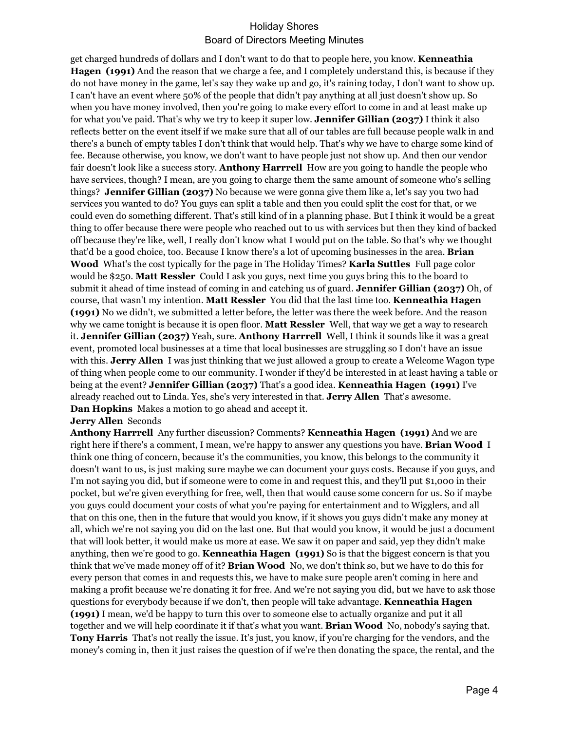get charged hundreds of dollars and I don't want to do that to people here, you know. **Kenneathia Hagen (1991)** And the reason that we charge a fee, and I completely understand this, is because if they do not have money in the game, let's say they wake up and go, it's raining today, I don't want to show up. I can't have an event where 50% of the people that didn't pay anything at all just doesn't show up. So when you have money involved, then you're going to make every effort to come in and at least make up for what you've paid. That's why we try to keep it super low. **Jennifer Gillian (2037)** I think it also reflects better on the event itself if we make sure that all of our tables are full because people walk in and there's a bunch of empty tables I don't think that would help. That's why we have to charge some kind of fee. Because otherwise, you know, we don't want to have people just not show up. And then our vendor fair doesn't look like a success story. **Anthony Harrrell** How are you going to handle the people who have services, though? I mean, are you going to charge them the same amount of someone who's selling things? **Jennifer Gillian (2037)** No because we were gonna give them like a, let's say you two had services you wanted to do? You guys can split a table and then you could split the cost for that, or we could even do something different. That's still kind of in a planning phase. But I think it would be a great thing to offer because there were people who reached out to us with services but then they kind of backed off because they're like, well, I really don't know what I would put on the table. So that's why we thought that'd be a good choice, too. Because I know there's a lot of upcoming businesses in the area. **Brian Wood** What's the cost typically for the page in The Holiday Times? **Karla Suttles** Full page color would be \$250. **Matt Ressler** Could I ask you guys, next time you guys bring this to the board to submit it ahead of time instead of coming in and catching us of guard. **Jennifer Gillian (2037)** Oh, of course, that wasn't my intention. **Matt Ressler** You did that the last time too. **Kenneathia Hagen (1991)** No we didn't, we submitted a letter before, the letter was there the week before. And the reason why we came tonight is because it is open floor. **Matt Ressler** Well, that way we get a way to research it. **Jennifer Gillian (2037)** Yeah, sure. **Anthony Harrrell** Well, I think it sounds like it was a great event, promoted local businesses at a time that local businesses are struggling so I don't have an issue with this. **Jerry Allen** I was just thinking that we just allowed a group to create a Welcome Wagon type of thing when people come to our community. I wonder if they'd be interested in at least having a table or being at the event? **Jennifer Gillian (2037)** That's a good idea. **Kenneathia Hagen (1991)** I've already reached out to Linda. Yes, she's very interested in that. **Jerry Allen** That's awesome. **Dan Hopkins** Makes a motion to go ahead and accept it.

### **Jerry Allen** Seconds

**Anthony Harrrell** Any further discussion? Comments? **Kenneathia Hagen (1991)** And we are right here if there's a comment, I mean, we're happy to answer any questions you have. **Brian Wood** I think one thing of concern, because it's the communities, you know, this belongs to the community it doesn't want to us, is just making sure maybe we can document your guys costs. Because if you guys, and I'm not saying you did, but if someone were to come in and request this, and they'll put \$1,000 in their pocket, but we're given everything for free, well, then that would cause some concern for us. So if maybe you guys could document your costs of what you're paying for entertainment and to Wigglers, and all that on this one, then in the future that would you know, if it shows you guys didn't make any money at all, which we're not saying you did on the last one. But that would you know, it would be just a document that will look better, it would make us more at ease. We saw it on paper and said, yep they didn't make anything, then we're good to go. **Kenneathia Hagen (1991)** So is that the biggest concern is that you think that we've made money off of it? **Brian Wood** No, we don't think so, but we have to do this for every person that comes in and requests this, we have to make sure people aren't coming in here and making a profit because we're donating it for free. And we're not saying you did, but we have to ask those questions for everybody because if we don't, then people will take advantage. **Kenneathia Hagen (1991)** I mean, we'd be happy to turn this over to someone else to actually organize and put it all together and we will help coordinate it if that's what you want. **Brian Wood** No, nobody's saying that. **Tony Harris** That's not really the issue. It's just, you know, if you're charging for the vendors, and the money's coming in, then it just raises the question of if we're then donating the space, the rental, and the